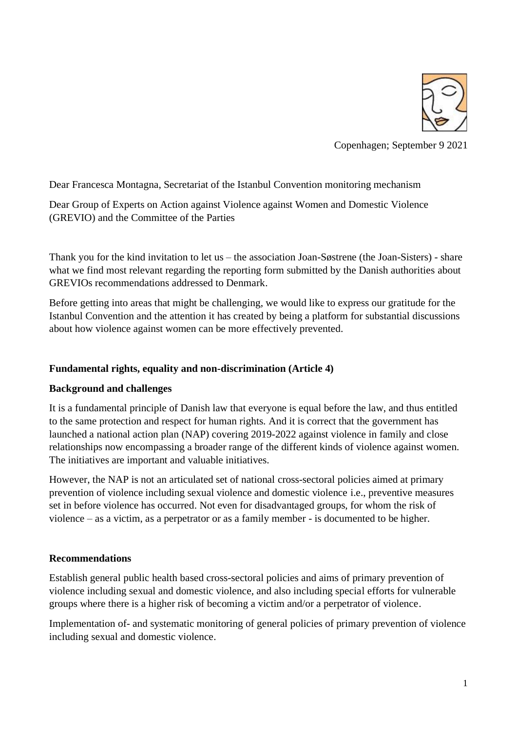

Copenhagen; September 9 2021

Dear Francesca Montagna, Secretariat of the Istanbul Convention monitoring mechanism

Dear Group of Experts on Action against Violence against Women and Domestic Violence (GREVIO) and the Committee of the Parties

Thank you for the kind invitation to let us – the association Joan-Søstrene (the Joan-Sisters) - share what we find most relevant regarding the reporting form submitted by the Danish authorities about GREVIOs recommendations addressed to Denmark.

Before getting into areas that might be challenging, we would like to express our gratitude for the Istanbul Convention and the attention it has created by being a platform for substantial discussions about how violence against women can be more effectively prevented.

### **Fundamental rights, equality and non-discrimination (Article 4)**

#### **Background and challenges**

It is a fundamental principle of Danish law that everyone is equal before the law, and thus entitled to the same protection and respect for human rights. And it is correct that the government has launched a national action plan (NAP) covering 2019-2022 against violence in family and close relationships now encompassing a broader range of the different kinds of violence against women. The initiatives are important and valuable initiatives.

However, the NAP is not an articulated set of national cross-sectoral policies aimed at primary prevention of violence including sexual violence and domestic violence i.e., preventive measures set in before violence has occurred. Not even for disadvantaged groups, for whom the risk of violence – as a victim, as a perpetrator or as a family member - is documented to be higher.

#### **Recommendations**

Establish general public health based cross-sectoral policies and aims of primary prevention of violence including sexual and domestic violence, and also including special efforts for vulnerable groups where there is a higher risk of becoming a victim and/or a perpetrator of violence.

Implementation of- and systematic monitoring of general policies of primary prevention of violence including sexual and domestic violence.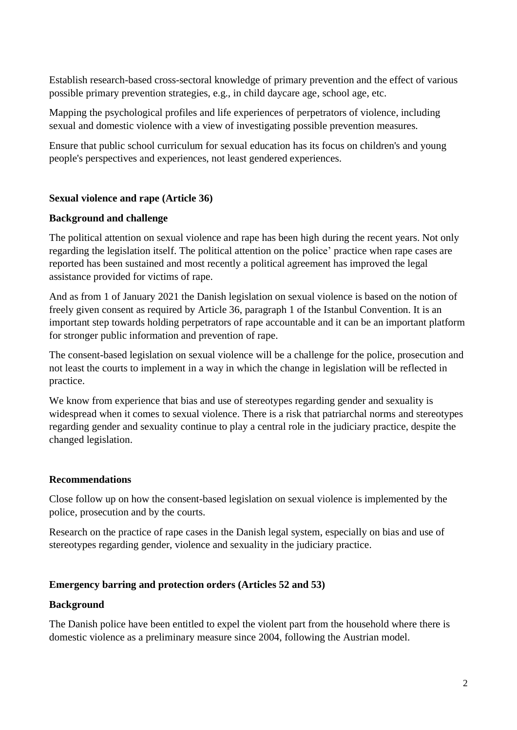Establish research-based cross-sectoral knowledge of primary prevention and the effect of various possible primary prevention strategies, e.g., in child daycare age, school age, etc.

Mapping the psychological profiles and life experiences of perpetrators of violence, including sexual and domestic violence with a view of investigating possible prevention measures.

Ensure that public school curriculum for sexual education has its focus on children's and young people's perspectives and experiences, not least gendered experiences.

## **Sexual violence and rape (Article 36)**

#### **Background and challenge**

The political attention on sexual violence and rape has been high during the recent years. Not only regarding the legislation itself. The political attention on the police' practice when rape cases are reported has been sustained and most recently a political agreement has improved the legal assistance provided for victims of rape.

And as from 1 of January 2021 the Danish legislation on sexual violence is based on the notion of freely given consent as required by Article 36, paragraph 1 of the Istanbul Convention. It is an important step towards holding perpetrators of rape accountable and it can be an important platform for stronger public information and prevention of rape.

The consent-based legislation on sexual violence will be a challenge for the police, prosecution and not least the courts to implement in a way in which the change in legislation will be reflected in practice.

We know from experience that bias and use of stereotypes regarding gender and sexuality is widespread when it comes to sexual violence. There is a risk that patriarchal norms and stereotypes regarding gender and sexuality continue to play a central role in the judiciary practice, despite the changed legislation.

### **Recommendations**

Close follow up on how the consent-based legislation on sexual violence is implemented by the police, prosecution and by the courts.

Research on the practice of rape cases in the Danish legal system, especially on bias and use of stereotypes regarding gender, violence and sexuality in the judiciary practice.

### **Emergency barring and protection orders (Articles 52 and 53)**

#### **Background**

The Danish police have been entitled to expel the violent part from the household where there is domestic violence as a preliminary measure since 2004, following the Austrian model.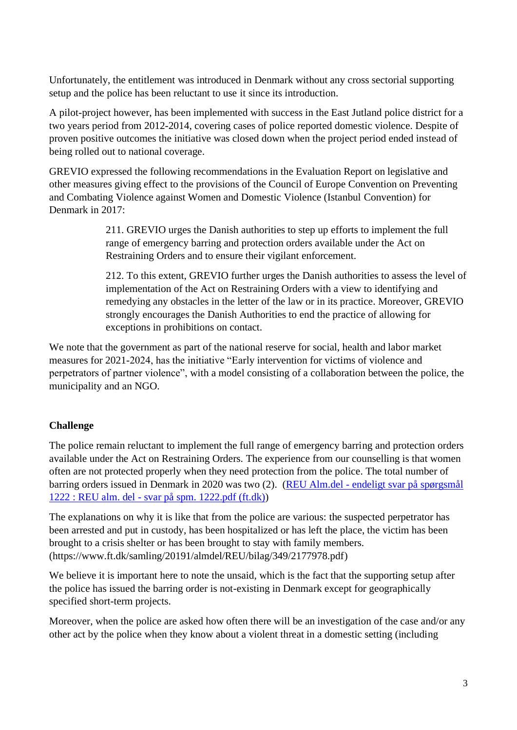Unfortunately, the entitlement was introduced in Denmark without any cross sectorial supporting setup and the police has been reluctant to use it since its introduction.

A pilot-project however, has been implemented with success in the East Jutland police district for a two years period from 2012-2014, covering cases of police reported domestic violence. Despite of proven positive outcomes the initiative was closed down when the project period ended instead of being rolled out to national coverage.

GREVIO expressed the following recommendations in the Evaluation Report on legislative and other measures giving effect to the provisions of the Council of Europe Convention on Preventing and Combating Violence against Women and Domestic Violence (Istanbul Convention) for Denmark in 2017:

> 211. GREVIO urges the Danish authorities to step up efforts to implement the full range of emergency barring and protection orders available under the Act on Restraining Orders and to ensure their vigilant enforcement.

212. To this extent, GREVIO further urges the Danish authorities to assess the level of implementation of the Act on Restraining Orders with a view to identifying and remedying any obstacles in the letter of the law or in its practice. Moreover, GREVIO strongly encourages the Danish Authorities to end the practice of allowing for exceptions in prohibitions on contact.

We note that the government as part of the national reserve for social, health and labor market measures for 2021-2024, has the initiative "Early intervention for victims of violence and perpetrators of partner violence", with a model consisting of a collaboration between the police, the municipality and an NGO.

# **Challenge**

The police remain reluctant to implement the full range of emergency barring and protection orders available under the Act on Restraining Orders. The experience from our counselling is that women often are not protected properly when they need protection from the police. The total number of barring orders issued in Denmark in 2020 was two (2). (REU Alm.del - [endeligt svar på spørgsmål](https://www.ft.dk/samling/20191/almdel/reu/spm/1222/svar/1663357/2197479.pdf)  1222 : REU alm. del - [svar på spm. 1222.pdf \(ft.dk\)\)](https://www.ft.dk/samling/20191/almdel/reu/spm/1222/svar/1663357/2197479.pdf)

The explanations on why it is like that from the police are various: the suspected perpetrator has been arrested and put in custody, has been hospitalized or has left the place, the victim has been brought to a crisis shelter or has been brought to stay with family members. (https://www.ft.dk/samling/20191/almdel/REU/bilag/349/2177978.pdf)

We believe it is important here to note the unsaid, which is the fact that the supporting setup after the police has issued the barring order is not-existing in Denmark except for geographically specified short-term projects.

Moreover, when the police are asked how often there will be an investigation of the case and/or any other act by the police when they know about a violent threat in a domestic setting (including